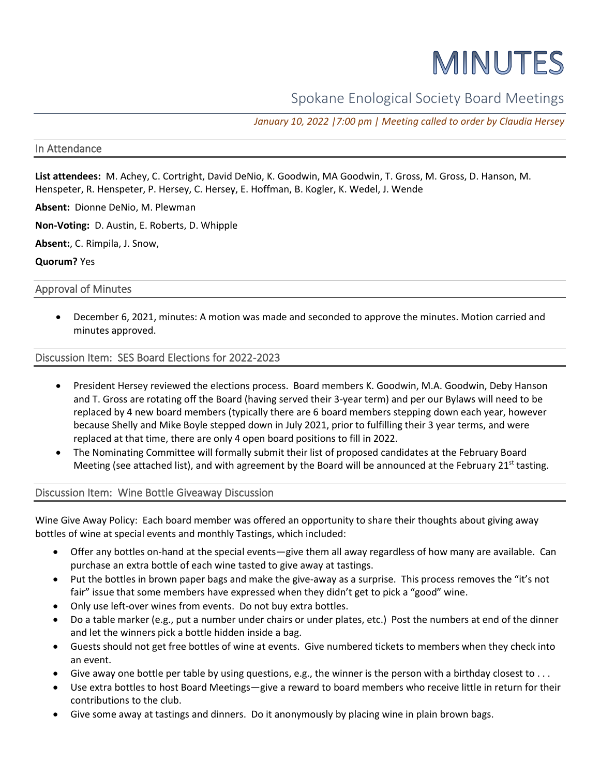# MINUTES

## Spokane Enological Society Board Meetings

*January 10, 2022 |7:00 pm | Meeting called to order by Claudia Hersey*

## In Attendance

**List attendees:** M. Achey, C. Cortright, David DeNio, K. Goodwin, MA Goodwin, T. Gross, M. Gross, D. Hanson, M. Henspeter, R. Henspeter, P. Hersey, C. Hersey, E. Hoffman, B. Kogler, K. Wedel, J. Wende

**Absent:** Dionne DeNio, M. Plewman

**Non-Voting:** D. Austin, E. Roberts, D. Whipple

**Absent:**, C. Rimpila, J. Snow,

**Quorum?** Yes

#### Approval of Minutes

• December 6, 2021, minutes: A motion was made and seconded to approve the minutes. Motion carried and minutes approved.

#### Discussion Item: SES Board Elections for 2022-2023

- President Hersey reviewed the elections process. Board members K. Goodwin, M.A. Goodwin, Deby Hanson and T. Gross are rotating off the Board (having served their 3-year term) and per our Bylaws will need to be replaced by 4 new board members (typically there are 6 board members stepping down each year, however because Shelly and Mike Boyle stepped down in July 2021, prior to fulfilling their 3 year terms, and were replaced at that time, there are only 4 open board positions to fill in 2022.
- The Nominating Committee will formally submit their list of proposed candidates at the February Board Meeting (see attached list), and with agreement by the Board will be announced at the February 21<sup>st</sup> tasting.

## Discussion Item: Wine Bottle Giveaway Discussion

Wine Give Away Policy: Each board member was offered an opportunity to share their thoughts about giving away bottles of wine at special events and monthly Tastings, which included:

- Offer any bottles on-hand at the special events—give them all away regardless of how many are available. Can purchase an extra bottle of each wine tasted to give away at tastings.
- Put the bottles in brown paper bags and make the give-away as a surprise. This process removes the "it's not fair" issue that some members have expressed when they didn't get to pick a "good" wine.
- Only use left-over wines from events. Do not buy extra bottles.
- Do a table marker (e.g., put a number under chairs or under plates, etc.) Post the numbers at end of the dinner and let the winners pick a bottle hidden inside a bag.
- Guests should not get free bottles of wine at events. Give numbered tickets to members when they check into an event.
- Give away one bottle per table by using questions, e.g., the winner is the person with a birthday closest to ...
- Use extra bottles to host Board Meetings—give a reward to board members who receive little in return for their contributions to the club.
- Give some away at tastings and dinners. Do it anonymously by placing wine in plain brown bags.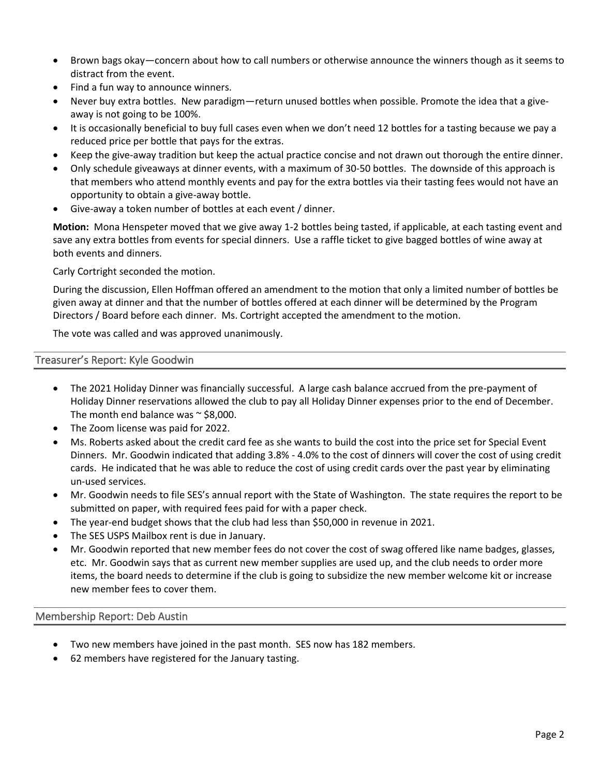- Brown bags okay—concern about how to call numbers or otherwise announce the winners though as it seems to distract from the event.
- Find a fun way to announce winners.
- Never buy extra bottles. New paradigm—return unused bottles when possible. Promote the idea that a giveaway is not going to be 100%.
- It is occasionally beneficial to buy full cases even when we don't need 12 bottles for a tasting because we pay a reduced price per bottle that pays for the extras.
- Keep the give-away tradition but keep the actual practice concise and not drawn out thorough the entire dinner.
- Only schedule giveaways at dinner events, with a maximum of 30-50 bottles. The downside of this approach is that members who attend monthly events and pay for the extra bottles via their tasting fees would not have an opportunity to obtain a give-away bottle.
- Give-away a token number of bottles at each event / dinner.

**Motion:** Mona Henspeter moved that we give away 1-2 bottles being tasted, if applicable, at each tasting event and save any extra bottles from events for special dinners. Use a raffle ticket to give bagged bottles of wine away at both events and dinners.

Carly Cortright seconded the motion.

During the discussion, Ellen Hoffman offered an amendment to the motion that only a limited number of bottles be given away at dinner and that the number of bottles offered at each dinner will be determined by the Program Directors / Board before each dinner. Ms. Cortright accepted the amendment to the motion.

The vote was called and was approved unanimously.

## Treasurer's Report: Kyle Goodwin

- The 2021 Holiday Dinner was financially successful. A large cash balance accrued from the pre-payment of Holiday Dinner reservations allowed the club to pay all Holiday Dinner expenses prior to the end of December. The month end balance was  $\sim$  \$8,000.
- The Zoom license was paid for 2022.
- Ms. Roberts asked about the credit card fee as she wants to build the cost into the price set for Special Event Dinners. Mr. Goodwin indicated that adding 3.8% - 4.0% to the cost of dinners will cover the cost of using credit cards. He indicated that he was able to reduce the cost of using credit cards over the past year by eliminating un-used services.
- Mr. Goodwin needs to file SES's annual report with the State of Washington. The state requires the report to be submitted on paper, with required fees paid for with a paper check.
- The year-end budget shows that the club had less than \$50,000 in revenue in 2021.
- The SES USPS Mailbox rent is due in January.
- Mr. Goodwin reported that new member fees do not cover the cost of swag offered like name badges, glasses, etc. Mr. Goodwin says that as current new member supplies are used up, and the club needs to order more items, the board needs to determine if the club is going to subsidize the new member welcome kit or increase new member fees to cover them.

## Membership Report: Deb Austin

- Two new members have joined in the past month. SES now has 182 members.
- 62 members have registered for the January tasting.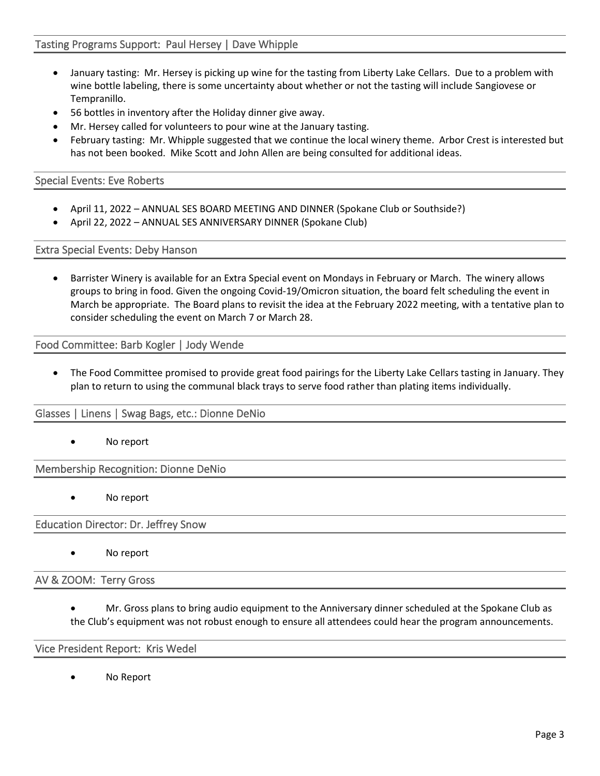## Tasting Programs Support: Paul Hersey | Dave Whipple

- January tasting: Mr. Hersey is picking up wine for the tasting from Liberty Lake Cellars. Due to a problem with wine bottle labeling, there is some uncertainty about whether or not the tasting will include Sangiovese or Tempranillo.
- 56 bottles in inventory after the Holiday dinner give away.
- Mr. Hersey called for volunteers to pour wine at the January tasting.
- February tasting: Mr. Whipple suggested that we continue the local winery theme. Arbor Crest is interested but has not been booked. Mike Scott and John Allen are being consulted for additional ideas.

## Special Events: Eve Roberts

- April 11, 2022 ANNUAL SES BOARD MEETING AND DINNER (Spokane Club or Southside?)
- April 22, 2022 ANNUAL SES ANNIVERSARY DINNER (Spokane Club)

Extra Special Events: Deby Hanson

• Barrister Winery is available for an Extra Special event on Mondays in February or March. The winery allows groups to bring in food. Given the ongoing Covid-19/Omicron situation, the board felt scheduling the event in March be appropriate. The Board plans to revisit the idea at the February 2022 meeting, with a tentative plan to consider scheduling the event on March 7 or March 28.

Food Committee: Barb Kogler | Jody Wende

• The Food Committee promised to provide great food pairings for the Liberty Lake Cellars tasting in January. They plan to return to using the communal black trays to serve food rather than plating items individually.

## Glasses | Linens | Swag Bags, etc.: Dionne DeNio

No report

Membership Recognition: Dionne DeNio

No report

Education Director: Dr. Jeffrey Snow

No report

AV & ZOOM: Terry Gross

• Mr. Gross plans to bring audio equipment to the Anniversary dinner scheduled at the Spokane Club as the Club's equipment was not robust enough to ensure all attendees could hear the program announcements.

#### Vice President Report: Kris Wedel

No Report